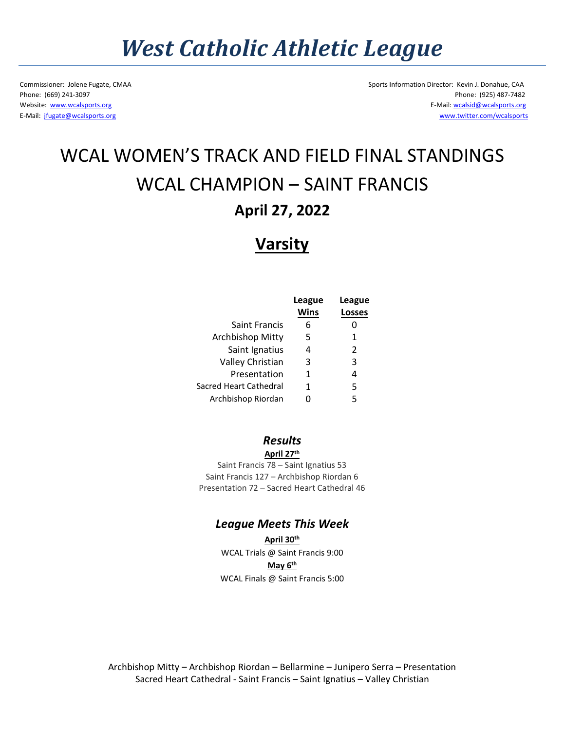# *West Catholic Athletic League*

Commissioner: Jolene Fugate, CMAA Sports Information Director: Kevin J. Donahue, CAA Phone: (669) 241-3097 Phone: (925) 487-7482 Website: [www.wcalsports.org](http://www.wcalsports.org/) examples are the example of the example of the E-Mail: wcalsid@wcalsports.org E-Mail: wcalsid@wcalsports.org E-Mail: [jfugate@wcalsports.org](mailto:jfugate@wcalsports.org) [www.twitter.com/wcalsports](http://www.twitter.com/wcalsports)

## WCAL WOMEN'S TRACK AND FIELD FINAL STANDINGS WCAL CHAMPION – SAINT FRANCIS **April 27, 2022**

### **Varsity**

|                         | League<br><b>Wins</b> | League<br><b>Losses</b> |
|-------------------------|-----------------------|-------------------------|
| Saint Francis           | 6                     |                         |
| <b>Archbishop Mitty</b> | 5                     | 1                       |
| Saint Ignatius          | 4                     | $\mathcal{P}$           |
| Valley Christian        | 3                     | 3                       |
| Presentation            | 1                     | 4                       |
| Sacred Heart Cathedral  | 1                     | 5                       |
| Archbishop Riordan      | O                     | 5                       |

#### *Results*  **April 27th**

Saint Francis 78 – Saint Ignatius 53 Saint Francis 127 – Archbishop Riordan 6 Presentation 72 – Sacred Heart Cathedral 46

### *League Meets This Week*

**April 30th** WCAL Trials @ Saint Francis 9:00 **May 6th** WCAL Finals @ Saint Francis 5:00

Archbishop Mitty – Archbishop Riordan – Bellarmine – Junipero Serra – Presentation Sacred Heart Cathedral - Saint Francis – Saint Ignatius – Valley Christian